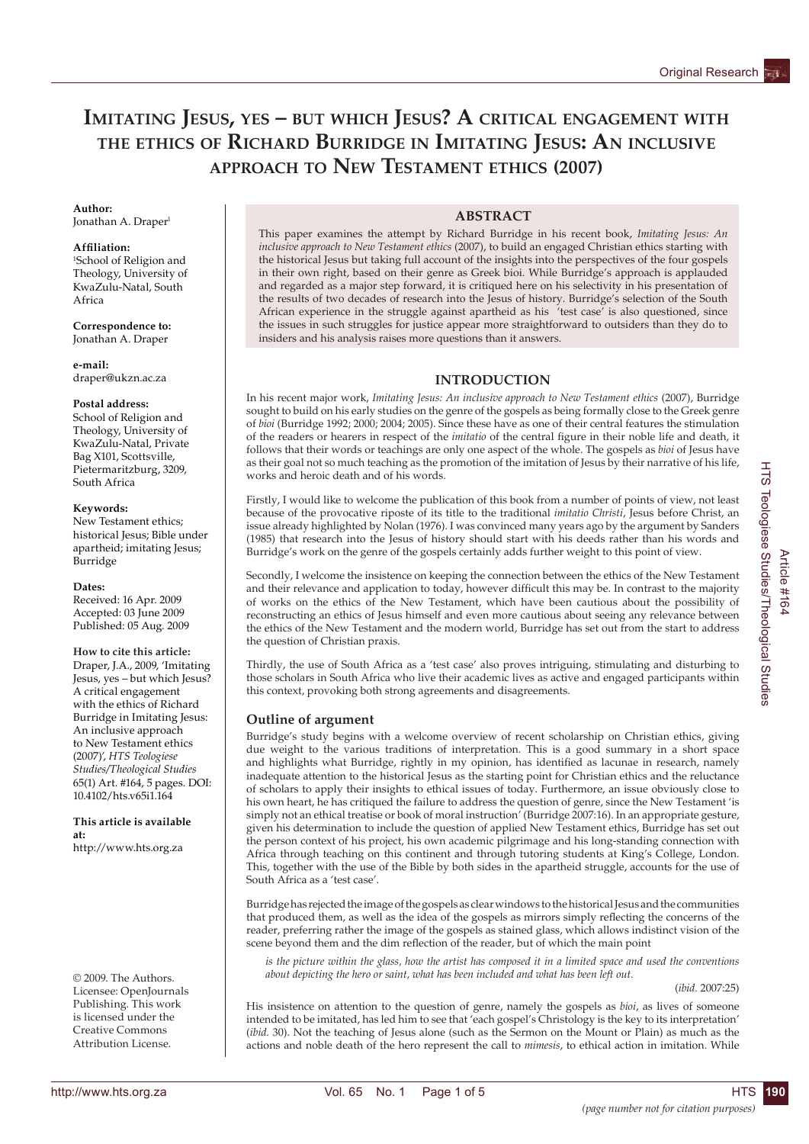# **IMITATING JESUS, YES – BUT WHICH JESUS? A CRITICAL ENGAGEMENT WITH THE ETHICS OF RICHARD BURRIDGE IN IMITATING JESUS: AN INCLUSIVE APPROACH TO NEW TESTAMENT ETHICS (2007)**

# **Author:**

Ionathan A. Draper<sup>1</sup>

### **Affi liation:**

1 School of Religion and Theology, University of KwaZulu-Natal, South Africa

**Correspondence to:** Jonathan A. Draper

**e-mail:** draper@ukzn.ac.za

### **Postal address:**

School of Religion and Theology, University of KwaZulu-Natal, Private Bag X101, Scottsville, Pietermaritzburg, 3209, South Africa

### **Keywords:**

New Testament ethics; historical Jesus; Bible under apartheid; imitating Jesus; Burridge

### **Dates:**

Received: 16 Apr. 2009 Accepted: 03 June 2009 Published: 05 Aug. 2009

**How to cite this article:** Draper, J.A., 2009, 'Imitating Jesus, yes – but which Jesus? A critical engagement with the ethics of Richard Burridge in Imitating Jesus: An inclusive approach to New Testament ethics (2007)', *HTS Teologiese Studies/Theological Studies*  65(1) Art. #164, 5 pages. DOI: 10.4102/hts.v65i1.164

**This article is available at:** http://www.hts.org.za

© 2009. The Authors. Licensee: OpenJournals Publishing. This work is licensed under the Creative Commons Attribution License.

# **ABSTRACT**

This paper examines the attempt by Richard Burridge in his recent book, *Imitating Jesus: An inclusive approach to New Testament ethics* (2007), to build an engaged Christian ethics starting with the historical Jesus but taking full account of the insights into the perspectives of the four gospels in their own right, based on their genre as Greek bioi. While Burridge's approach is applauded and regarded as a major step forward, it is critiqued here on his selectivity in his presentation of the results of two decades of research into the Jesus of history. Burridge's selection of the South African experience in the struggle against apartheid as his 'test case' is also questioned, since the issues in such struggles for justice appear more straightforward to outsiders than they do to insiders and his analysis raises more questions than it answers.

# **INTRODUCTION**

In his recent major work, *Imitating Jesus: An inclusive approach to New Testament ethics* (2007), Burridge sought to build on his early studies on the genre of the gospels as being formally close to the Greek genre of *bioi* (Burridge 1992; 2000; 2004; 2005). Since these have as one of their central features the stimulation of the readers or hearers in respect of the *imitatio* of the central figure in their noble life and death, it follows that their words or teachings are only one aspect of the whole. The gospels as *bioi* of Jesus have as their goal not so much teaching as the promotion of the imitation of Jesus by their narrative of his life, works and heroic death and of his words.

Firstly, I would like to welcome the publication of this book from a number of points of view, not least because of the provocative riposte of its title to the traditional *imitatio Christi*, Jesus before Christ, an issue already highlighted by Nolan (1976). I was convinced many years ago by the argument by Sanders (1985) that research into the Jesus of history should start with his deeds rather than his words and Burridge's work on the genre of the gospels certainly adds further weight to this point of view.

Secondly, I welcome the insistence on keeping the connection between the ethics of the New Testament and their relevance and application to today, however difficult this may be. In contrast to the majority of works on the ethics of the New Testament, which have been cautious about the possibility of reconstructing an ethics of Jesus himself and even more cautious about seeing any relevance between the ethics of the New Testament and the modern world, Burridge has set out from the start to address the question of Christian praxis.

Thirdly, the use of South Africa as a 'test case' also proves intriguing, stimulating and disturbing to those scholars in South Africa who live their academic lives as active and engaged participants within this context, provoking both strong agreements and disagreements.

# **Outline of argument**

Burridge's study begins with a welcome overview of recent scholarship on Christian ethics, giving due weight to the various traditions of interpretation. This is a good summary in a short space and highlights what Burridge, rightly in my opinion, has identified as lacunae in research, namely inadequate attention to the historical Jesus as the starting point for Christian ethics and the reluctance of scholars to apply their insights to ethical issues of today. Furthermore, an issue obviously close to his own heart, he has critiqued the failure to address the question of genre, since the New Testament 'is simply not an ethical treatise or book of moral instruction' (Burridge 2007:16). In an appropriate gesture, given his determination to include the question of applied New Testament ethics, Burridge has set out the person context of his project, his own academic pilgrimage and his long-standing connection with Africa through teaching on this continent and through tutoring students at King's College, London. This, together with the use of the Bible by both sides in the apartheid struggle, accounts for the use of South Africa as a 'test case'.

Burridge has rejected the image of the gospels as clear windows to the historical Jesus and the communities that produced them, as well as the idea of the gospels as mirrors simply reflecting the concerns of the reader, preferring rather the image of the gospels as stained glass, which allows indistinct vision of the scene beyond them and the dim reflection of the reader, but of which the main point

*is the picture within the glass, how the artist has composed it in a limited space and used the conventions about depicting the hero or saint, what has been included and what has been left out.*

(*ibid.* 2007:25)

His insistence on attention to the question of genre, namely the gospels as *bioi*, as lives of someone intended to be imitated, has led him to see that 'each gospel's Christology is the key to its interpretation' (*ibid.* 30). Not the teaching of Jesus alone (such as the Sermon on the Mount or Plain) as much as the actions and noble death of the hero represent the call to *mimesis*, to ethical action in imitation. While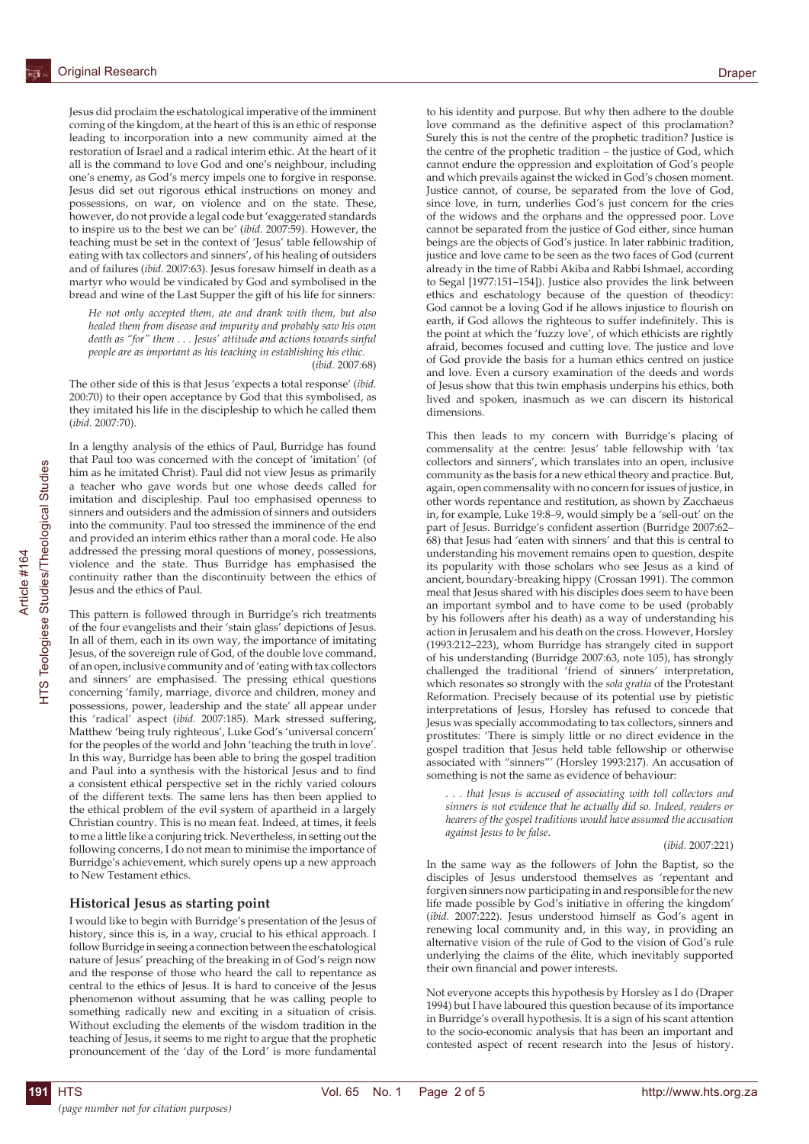Jesus did proclaim the eschatological imperative of the imminent coming of the kingdom, at the heart of this is an ethic of response leading to incorporation into a new community aimed at the restoration of Israel and a radical interim ethic. At the heart of it all is the command to love God and one's neighbour, including one's enemy, as God's mercy impels one to forgive in response. Jesus did set out rigorous ethical instructions on money and possessions, on war, on violence and on the state. These, however, do not provide a legal code but 'exaggerated standards to inspire us to the best we can be' (*ibid.* 2007:59). However, the teaching must be set in the context of 'Jesus' table fellowship of eating with tax collectors and sinners', of his healing of outsiders and of failures (*ibid.* 2007:63). Jesus foresaw himself in death as a martyr who would be vindicated by God and symbolised in the bread and wine of the Last Supper the gift of his life for sinners:

*He not only accepted them, ate and drank with them, but also healed them from disease and impurity and probably saw his own death as "for" them . . . Jesus' attitude and actions towards sinful people are as important as his teaching in establishing his ethic.*  (*ibid.* 2007*:*68)

The other side of this is that Jesus 'expects a total response' (*ibid.* 200:70) to their open acceptance by God that this symbolised, as they imitated his life in the discipleship to which he called them (*ibid.* 2007:70).

In a lengthy analysis of the ethics of Paul, Burridge has found that Paul too was concerned with the concept of 'imitation' (of him as he imitated Christ). Paul did not view Jesus as primarily a teacher who gave words but one whose deeds called for imitation and discipleship. Paul too emphasised openness to sinners and outsiders and the admission of sinners and outsiders into the community. Paul too stressed the imminence of the end and provided an interim ethics rather than a moral code. He also addressed the pressing moral questions of money, possessions, violence and the state. Thus Burridge has emphasised the continuity rather than the discontinuity between the ethics of Jesus and the ethics of Paul.

This pattern is followed through in Burridge's rich treatments of the four evangelists and their 'stain glass' depictions of Jesus. In all of them, each in its own way, the importance of imitating Jesus, of the sovereign rule of God, of the double love command, of an open, inclusive community and of 'eating with tax collectors and sinners' are emphasised. The pressing ethical questions concerning 'family, marriage, divorce and children, money and possessions, power, leadership and the state' all appear under this 'radical' aspect (*ibid.* 2007:185). Mark stressed suffering, Matthew 'being truly righteous', Luke God's 'universal concern' for the peoples of the world and John 'teaching the truth in love'. In this way, Burridge has been able to bring the gospel tradition and Paul into a synthesis with the historical Jesus and to find a consistent ethical perspective set in the richly varied colours of the different texts. The same lens has then been applied to the ethical problem of the evil system of apartheid in a largely Christian country. This is no mean feat. Indeed, at times, it feels to me a little like a conjuring trick. Nevertheless, in setting out the following concerns, I do not mean to minimise the importance of Burridge's achievement, which surely opens up a new approach to New Testament ethics.

#### **Historical Jesus as starting point**

I would like to begin with Burridge's presentation of the Jesus of history, since this is, in a way, crucial to his ethical approach. I follow Burridge in seeing a connection between the eschatological nature of Jesus' preaching of the breaking in of God's reign now and the response of those who heard the call to repentance as central to the ethics of Jesus. It is hard to conceive of the Jesus phenomenon without assuming that he was calling people to something radically new and exciting in a situation of crisis. Without excluding the elements of the wisdom tradition in the teaching of Jesus, it seems to me right to argue that the prophetic pronouncement of the 'day of the Lord' is more fundamental

to his identity and purpose. But why then adhere to the double love command as the definitive aspect of this proclamation? Surely this is not the centre of the prophetic tradition? Justice is the centre of the prophetic tradition – the justice of God, which cannot endure the oppression and exploitation of God's people and which prevails against the wicked in God's chosen moment. Justice cannot, of course, be separated from the love of God, since love, in turn, underlies God's just concern for the cries of the widows and the orphans and the oppressed poor. Love cannot be separated from the justice of God either, since human beings are the objects of God's justice. In later rabbinic tradition, justice and love came to be seen as the two faces of God (current already in the time of Rabbi Akiba and Rabbi Ishmael, according to Segal [1977:151–154]). Justice also provides the link between ethics and eschatology because of the question of theodicy: God cannot be a loving God if he allows injustice to flourish on earth, if God allows the righteous to suffer indefinitely. This is the point at which the 'fuzzy love', of which ethicists are rightly afraid, becomes focused and cutting love. The justice and love of God provide the basis for a human ethics centred on justice and love. Even a cursory examination of the deeds and words of Jesus show that this twin emphasis underpins his ethics, both lived and spoken, inasmuch as we can discern its historical dimensions.

This then leads to my concern with Burridge's placing of commensality at the centre: Jesus' table fellowship with 'tax collectors and sinners', which translates into an open, inclusive community as the basis for a new ethical theory and practice. But, again, open commensality with no concern for issues of justice, in other words repentance and restitution, as shown by Zacchaeus in, for example, Luke 19:8–9, would simply be a 'sell-out' on the part of Jesus. Burridge's confident assertion (Burridge 2007:62– 68) that Jesus had 'eaten with sinners' and that this is central to understanding his movement remains open to question, despite its popularity with those scholars who see Jesus as a kind of ancient, boundary-breaking hippy (Crossan 1991). The common meal that Jesus shared with his disciples does seem to have been an important symbol and to have come to be used (probably by his followers after his death) as a way of understanding his action in Jerusalem and his death on the cross. However, Horsley (1993:212–223), whom Burridge has strangely cited in support of his understanding (Burridge 2007:63, note 105), has strongly challenged the traditional 'friend of sinners' interpretation, which resonates so strongly with the *sola gratia* of the Protestant Reformation. Precisely because of its potential use by pietistic interpretations of Jesus, Horsley has refused to concede that Jesus was specially accommodating to tax collectors, sinners and prostitutes: 'There is simply little or no direct evidence in the gospel tradition that Jesus held table fellowship or otherwise associated with "sinners"' (Horsley 1993:217). An accusation of something is not the same as evidence of behaviour:

*. . . that Jesus is accused of associating with toll collectors and sinners is not evidence that he actually did so. Indeed, readers or hearers of the gospel traditions would have assumed the accusation against Jesus to be false*.

#### (*ibid.* 2007:221)

In the same way as the followers of John the Baptist, so the disciples of Jesus understood themselves as 'repentant and forgiven sinners now participating in and responsible for the new life made possible by God's initiative in offering the kingdom' (*ibid.* 2007:222). Jesus understood himself as God's agent in renewing local community and, in this way, in providing an alternative vision of the rule of God to the vision of God's rule underlying the claims of the élite, which inevitably supported their own financial and power interests.

Not everyone accepts this hypothesis by Horsley as I do (Draper 1994) but I have laboured this question because of its importance in Burridge's overall hypothesis. It is a sign of his scant attention to the socio-economic analysis that has been an important and contested aspect of recent research into the Jesus of history.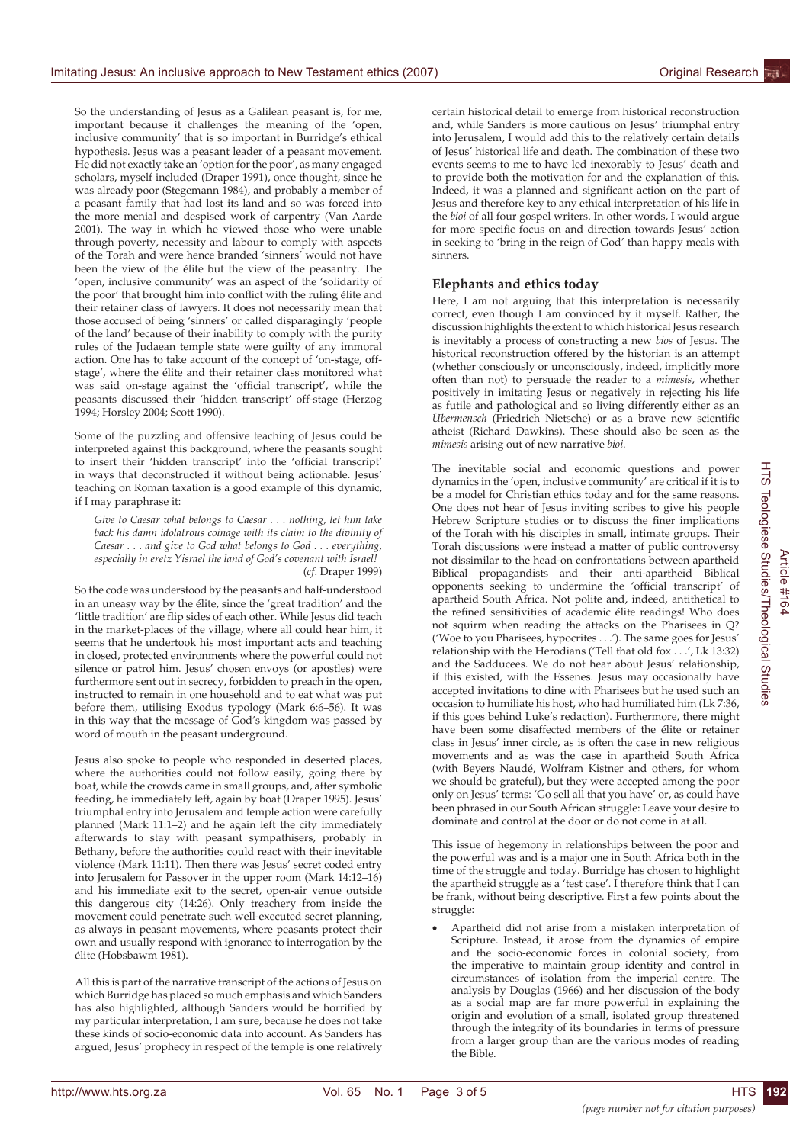So the understanding of Jesus as a Galilean peasant is, for me, important because it challenges the meaning of the 'open, inclusive community' that is so important in Burridge's ethical hypothesis. Jesus was a peasant leader of a peasant movement. He did not exactly take an 'option for the poor', as many engaged scholars, myself included (Draper 1991), once thought, since he was already poor (Stegemann 1984), and probably a member of a peasant family that had lost its land and so was forced into the more menial and despised work of carpentry (Van Aarde 2001). The way in which he viewed those who were unable through poverty, necessity and labour to comply with aspects of the Torah and were hence branded 'sinners' would not have been the view of the élite but the view of the peasantry. The 'open, inclusive community' was an aspect of the 'solidarity of the poor' that brought him into conflict with the ruling élite and their retainer class of lawyers. It does not necessarily mean that those accused of being 'sinners' or called disparagingly 'people of the land' because of their inability to comply with the purity rules of the Judaean temple state were guilty of any immoral action. One has to take account of the concept of 'on-stage, offstage', where the élite and their retainer class monitored what was said on-stage against the 'official transcript', while the peasants discussed their 'hidden transcript' off-stage (Herzog 1994; Horsley 2004; Scott 1990).

Some of the puzzling and offensive teaching of Jesus could be interpreted against this background, where the peasants sought to insert their 'hidden transcript' into the 'official transcript' in ways that deconstructed it without being actionable. Jesus' teaching on Roman taxation is a good example of this dynamic, if I may paraphrase it:

*Give to Caesar what belongs to Caesar . . . nothing, let him take back his damn idolatrous coinage with its claim to the divinity of Caesar . . . and give to God what belongs to God . . . everything, especially in eretz Yisrael the land of God's covenant with Israel!* (*cf*. Draper 1999)

So the code was understood by the peasants and half-understood in an uneasy way by the élite, since the 'great tradition' and the 'little tradition' are flip sides of each other. While Jesus did teach in the market-places of the village, where all could hear him, it seems that he undertook his most important acts and teaching in closed, protected environments where the powerful could not silence or patrol him. Jesus' chosen envoys (or apostles) were furthermore sent out in secrecy, forbidden to preach in the open, instructed to remain in one household and to eat what was put before them, utilising Exodus typology (Mark 6:6–56). It was in this way that the message of God's kingdom was passed by word of mouth in the peasant underground.

Jesus also spoke to people who responded in deserted places, where the authorities could not follow easily, going there by boat, while the crowds came in small groups, and, after symbolic feeding, he immediately left, again by boat (Draper 1995). Jesus' triumphal entry into Jerusalem and temple action were carefully planned (Mark 11:1–2) and he again left the city immediately afterwards to stay with peasant sympathisers, probably in Bethany, before the authorities could react with their inevitable violence (Mark 11:11). Then there was Jesus' secret coded entry into Jerusalem for Passover in the upper room (Mark 14:12–16) and his immediate exit to the secret, open-air venue outside this dangerous city (14:26). Only treachery from inside the movement could penetrate such well-executed secret planning, as always in peasant movements, where peasants protect their own and usually respond with ignorance to interrogation by the élite (Hobsbawm 1981).

All this is part of the narrative transcript of the actions of Jesus on which Burridge has placed so much emphasis and which Sanders has also highlighted, although Sanders would be horrified by my particular interpretation, I am sure, because he does not take these kinds of socio-economic data into account. As Sanders has argued, Jesus' prophecy in respect of the temple is one relatively certain historical detail to emerge from historical reconstruction and, while Sanders is more cautious on Jesus' triumphal entry into Jerusalem, I would add this to the relatively certain details of Jesus' historical life and death. The combination of these two events seems to me to have led inexorably to Jesus' death and to provide both the motivation for and the explanation of this. Indeed, it was a planned and significant action on the part of Jesus and therefore key to any ethical interpretation of his life in the *bioi* of all four gospel writers. In other words, I would argue for more specific focus on and direction towards Jesus' action in seeking to 'bring in the reign of God' than happy meals with sinners.

## **Elephants and ethics today**

Here, I am not arguing that this interpretation is necessarily correct, even though I am convinced by it myself. Rather, the discussion highlights the extent to which historical Jesus research is inevitably a process of constructing a new *bios* of Jesus. The historical reconstruction offered by the historian is an attempt (whether consciously or unconsciously, indeed, implicitly more often than not) to persuade the reader to a *mimesis*, whether positively in imitating Jesus or negatively in rejecting his life as futile and pathological and so living differently either as an *Übermensch* (Friedrich Nietsche) or as a brave new scientific atheist (Richard Dawkins). These should also be seen as the *mimesis* arising out of new narrative *bioi*.

The inevitable social and economic questions and power dynamics in the 'open, inclusive community' are critical if it is to be a model for Christian ethics today and for the same reasons. One does not hear of Jesus inviting scribes to give his people Hebrew Scripture studies or to discuss the finer implications of the Torah with his disciples in small, intimate groups. Their Torah discussions were instead a matter of public controversy not dissimilar to the head-on confrontations between apartheid Biblical propagandists and their anti-apartheid Biblical opponents seeking to undermine the 'official transcript' of apartheid South Africa. Not polite and, indeed, antithetical to the refined sensitivities of academic élite readings! Who does not squirm when reading the attacks on the Pharisees in Q? ('Woe to you Pharisees, hypocrites . . .'). The same goes for Jesus' relationship with the Herodians ('Tell that old fox . . .', Lk 13:32) and the Sadducees. We do not hear about Jesus' relationship, if this existed, with the Essenes. Jesus may occasionally have accepted invitations to dine with Pharisees but he used such an occasion to humiliate his host, who had humiliated him (Lk 7:36, if this goes behind Luke's redaction). Furthermore, there might have been some disaffected members of the élite or retainer class in Jesus' inner circle, as is often the case in new religious movements and as was the case in apartheid South Africa (with Beyers Naudé, Wolfram Kistner and others, for whom we should be grateful), but they were accepted among the poor only on Jesus' terms: 'Go sell all that you have' or, as could have been phrased in our South African struggle: Leave your desire to dominate and control at the door or do not come in at all.

This issue of hegemony in relationships between the poor and the powerful was and is a major one in South Africa both in the time of the struggle and today. Burridge has chosen to highlight the apartheid struggle as a 'test case'. I therefore think that I can be frank, without being descriptive. First a few points about the struggle:

Apartheid did not arise from a mistaken interpretation of Scripture. Instead, it arose from the dynamics of empire and the socio-economic forces in colonial society, from the imperative to maintain group identity and control in circumstances of isolation from the imperial centre. The analysis by Douglas (1966) and her discussion of the body as a social map are far more powerful in explaining the origin and evolution of a small, isolated group threatened through the integrity of its boundaries in terms of pressure from a larger group than are the various modes of reading the Bible.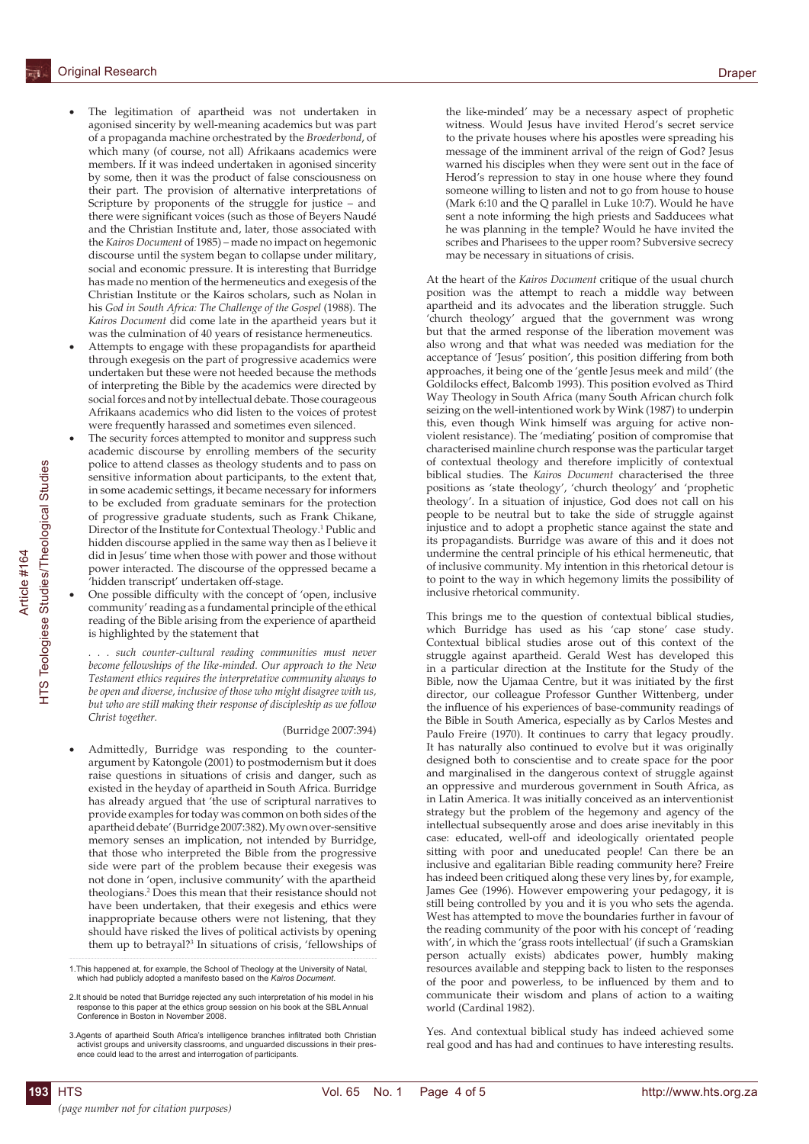- The legitimation of apartheid was not undertaken in agonised sincerity by well-meaning academics but was part of a propaganda machine orchestrated by the *Broederbond*, of which many (of course, not all) Afrikaans academics were members. If it was indeed undertaken in agonised sincerity by some, then it was the product of false consciousness on their part. The provision of alternative interpretations of Scripture by proponents of the struggle for justice – and there were significant voices (such as those of Beyers Naudé and the Christian Institute and, later, those associated with the *Kairos Document* of 1985) – made no impact on hegemonic discourse until the system began to collapse under military, social and economic pressure. It is interesting that Burridge has made no mention of the hermeneutics and exegesis of the Christian Institute or the Kairos scholars, such as Nolan in his *God in South Africa: The Challenge of the Gospel* (1988). The *Kairos Document* did come late in the apartheid years but it was the culmination of 40 years of resistance hermeneutics.
- Attempts to engage with these propagandists for apartheid through exegesis on the part of progressive academics were undertaken but these were not heeded because the methods of interpreting the Bible by the academics were directed by social forces and not by intellectual debate. Those courageous Afrikaans academics who did listen to the voices of protest were frequently harassed and sometimes even silenced.
- The security forces attempted to monitor and suppress such academic discourse by enrolling members of the security police to attend classes as theology students and to pass on sensitive information about participants, to the extent that, in some academic settings, it became necessary for informers to be excluded from graduate seminars for the protection of progressive graduate students, such as Frank Chikane, Director of the Institute for Contextual Theology.1 Public and hidden discourse applied in the same way then as I believe it did in Jesus' time when those with power and those without power interacted. The discourse of the oppressed became a 'hidden transcript' undertaken off-stage.
- One possible difficulty with the concept of 'open, inclusive community' reading as a fundamental principle of the ethical reading of the Bible arising from the experience of apartheid is highlighted by the statement that

*. . . such counter-cultural reading communities must never become fellowships of the like-minded. Our approach to the New Testament ethics requires the interpretative community always to be open and diverse, inclusive of those who might disagree with us, but who are still making their response of discipleship as we follow Christ together.*

#### (Burridge 2007:394)

Admittedly, Burridge was responding to the counterargument by Katongole (2001) to postmodernism but it does raise questions in situations of crisis and danger, such as existed in the heyday of apartheid in South Africa. Burridge has already argued that 'the use of scriptural narratives to provide examples for today was common on both sides of the apartheid debate' (Burridge 2007:382). My own over-sensitive memory senses an implication, not intended by Burridge, that those who interpreted the Bible from the progressive side were part of the problem because their exegesis was not done in 'open, inclusive community' with the apartheid theologians.2 Does this mean that their resistance should not have been undertaken, that their exegesis and ethics were inappropriate because others were not listening, that they should have risked the lives of political activists by opening them up to betrayal?3 In situations of crisis, 'fellowships of the like-minded' may be a necessary aspect of prophetic witness. Would Jesus have invited Herod's secret service to the private houses where his apostles were spreading his message of the imminent arrival of the reign of God? Jesus warned his disciples when they were sent out in the face of Herod's repression to stay in one house where they found someone willing to listen and not to go from house to house (Mark 6:10 and the Q parallel in Luke 10:7). Would he have sent a note informing the high priests and Sadducees what he was planning in the temple? Would he have invited the scribes and Pharisees to the upper room? Subversive secrecy may be necessary in situations of crisis.

At the heart of the *Kairos Document* critique of the usual church position was the attempt to reach a middle way between apartheid and its advocates and the liberation struggle. Such 'church theology' argued that the government was wrong but that the armed response of the liberation movement was also wrong and that what was needed was mediation for the acceptance of 'Jesus' position', this position differing from both approaches, it being one of the 'gentle Jesus meek and mild' (the Goldilocks effect, Balcomb 1993). This position evolved as Third Way Theology in South Africa (many South African church folk seizing on the well-intentioned work by Wink (1987) to underpin this, even though Wink himself was arguing for active nonviolent resistance). The 'mediating' position of compromise that characterised mainline church response was the particular target of contextual theology and therefore implicitly of contextual biblical studies. The *Kairos Document* characterised the three positions as 'state theology', 'church theology' and 'prophetic theology'. In a situation of injustice, God does not call on his people to be neutral but to take the side of struggle against injustice and to adopt a prophetic stance against the state and its propagandists. Burridge was aware of this and it does not undermine the central principle of his ethical hermeneutic, that of inclusive community. My intention in this rhetorical detour is to point to the way in which hegemony limits the possibility of inclusive rhetorical community.

This brings me to the question of contextual biblical studies, which Burridge has used as his 'cap stone' case study. Contextual biblical studies arose out of this context of the struggle against apartheid. Gerald West has developed this in a particular direction at the Institute for the Study of the Bible, now the Ujamaa Centre, but it was initiated by the first director, our colleague Professor Gunther Wittenberg, under the influence of his experiences of base-community readings of the Bible in South America, especially as by Carlos Mestes and Paulo Freire (1970). It continues to carry that legacy proudly. It has naturally also continued to evolve but it was originally designed both to conscientise and to create space for the poor and marginalised in the dangerous context of struggle against an oppressive and murderous government in South Africa, as in Latin America. It was initially conceived as an interventionist strategy but the problem of the hegemony and agency of the intellectual subsequently arose and does arise inevitably in this case: educated, well-off and ideologically orientated people sitting with poor and uneducated people! Can there be an inclusive and egalitarian Bible reading community here? Freire has indeed been critiqued along these very lines by, for example, James Gee (1996). However empowering your pedagogy, it is still being controlled by you and it is you who sets the agenda. West has attempted to move the boundaries further in favour of the reading community of the poor with his concept of 'reading with', in which the 'grass roots intellectual' (if such a Gramskian person actually exists) abdicates power, humbly making resources available and stepping back to listen to the responses of the poor and powerless, to be influenced by them and to communicate their wisdom and plans of action to a waiting world (Cardinal 1982).

Yes. And contextual biblical study has indeed achieved some real good and has had and continues to have interesting results.

<sup>1.</sup>This happened at, for example, the School of Theology at the University of Natal, which had publicly adopted a manifesto based on the *Kairos Document*.

<sup>2.</sup>It should be noted that Burridge rejected any such interpretation of his model in his response to this paper at the ethics group session on his book at the SBL Annual Conference in Boston in November 2008.

<sup>3.</sup>Agents of apartheid South Africa's intelligence branches infiltrated both Christian activist groups and university classrooms, and unguarded discussions in their presence could lead to the arrest and interrogation of participants.